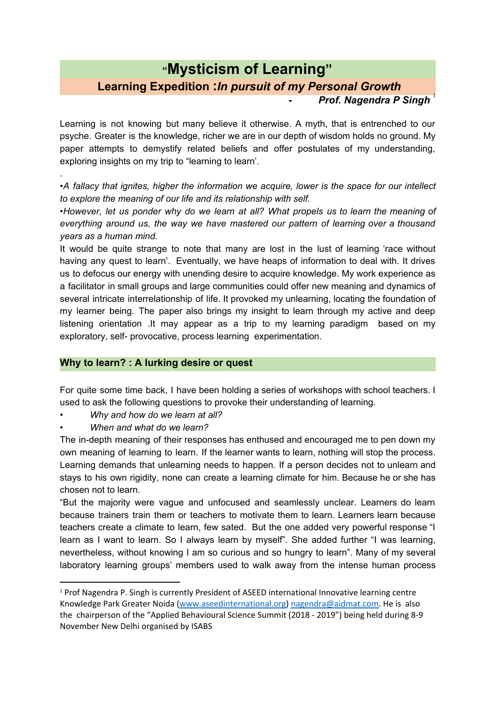# **"Mysticism of Learning" Learning Expedition :***In pursuit of my Personal Growth* **Prof. Nagendra P Singh**

Learning is not knowing but many believe it otherwise. A myth, that is entrenched to our psyche. Greater is the knowledge, richer we are in our depth of wisdom holds no ground. My paper attempts to demystify related beliefs and offer postulates of my understanding, exploring insights on my trip to "learning to learn'.

•*A fallacy that ignites, higher the information we acquire, lower is the space for our intellect to explore the meaning of our life and its relationship with self.*

*•However, let us ponder why do we learn at all? What propels us to learn the meaning of everything around us, the way we have mastered our pattern of learning over a thousand years as a human mind.*

It would be quite strange to note that many are lost in the lust of learning 'race without having any quest to learn'. Eventually, we have heaps of information to deal with. It drives us to defocus our energy with unending desire to acquire knowledge. My work experience as a facilitator in small groups and large communities could offer new meaning and dynamics of several intricate interrelationship of life. It provoked my unlearning, locating the foundation of my learner being. The paper also brings my insight to learn through my active and deep listening orientation .It may appear as a trip to my learning paradigm based on my exploratory, self- provocative, process learning experimentation.

# **Why to learn? : A lurking desire or quest**

For quite some time back, I have been holding a series of workshops with school teachers. I used to ask the following questions to provoke their understanding of learning.

- *Why and how do we learn at all?*
- *• When and what do we learn?*

.

The in-depth meaning of their responses has enthused and encouraged me to pen down my own meaning of learning to learn. If the learner wants to learn, nothing will stop the process. Learning demands that unlearning needs to happen. If a person decides not to unlearn and stays to his own rigidity, none can create a learning climate for him. Because he or she has chosen not to learn.

"But the majority were vague and unfocused and seamlessly unclear. Learners do learn because trainers train them or teachers to motivate them to learn. Learners learn because teachers create a climate to learn, few sated. But the one added very powerful response "I learn as I want to learn. So I always learn by myself". She added further "I was learning, nevertheless, without knowing I am so curious and so hungry to learn". Many of my several laboratory learning groups' members used to walk away from the intense human process

<sup>&</sup>lt;sup>1</sup> Prof Nagendra P. Singh is currently President of ASEED international Innovative learning centre Knowledge Park Greater Noida [\(www.aseedinternational.org\)](http://www.aseedinternational.org/) [nagendra@aidmat.com.](mailto:nagendra@aidmat.com) He is also the chairperson of the "Applied Behavioural Science Summit (2018 - 2019") being held during 8-9 November New Delhi organised by ISABS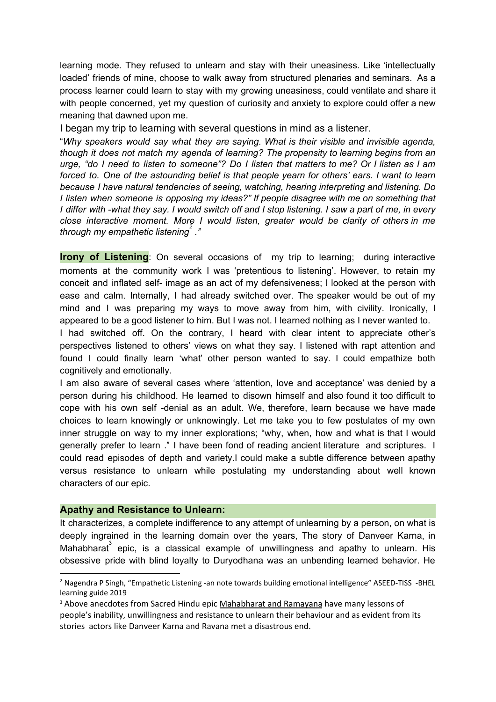learning mode. They refused to unlearn and stay with their uneasiness. Like 'intellectually loaded' friends of mine, choose to walk away from structured plenaries and seminars. As a process learner could learn to stay with my growing uneasiness, could ventilate and share it with people concerned, yet my question of curiosity and anxiety to explore could offer a new meaning that dawned upon me.

I began my trip to learning with several questions in mind as a listener.

"*Why speakers would say what they are saying. What is their visible and invisible agenda, though it does not match my agenda of learning? The propensity to learning begins from an* urge, "do I need to listen to someone"? Do I listen that matters to me? Or I listen as I am *forced to. One of the astounding belief is that people yearn for others' ears. I want to learn because I have natural tendencies of seeing, watching, hearing interpreting and listening. Do I listen when someone is opposing my ideas?" If people disagree with me on something that* I differ with -what they say. I would switch off and I stop listening. I saw a part of me, in every *close interactive moment. More I would listen, greater would be clarity of others in me through my empathetic listening ." 2*

**Irony of Listening**: On several occasions of my trip to learning; during interactive moments at the community work I was 'pretentious to listening'. However, to retain my conceit and inflated self- image as an act of my defensiveness; I looked at the person with ease and calm. Internally, I had already switched over. The speaker would be out of my mind and I was preparing my ways to move away from him, with civility. Ironically, I appeared to be a good listener to him. But I was not. I learned nothing as I never wanted to.

I had switched off. On the contrary, I heard with clear intent to appreciate other's perspectives listened to others' views on what they say. I listened with rapt attention and found I could finally learn 'what' other person wanted to say. I could empathize both cognitively and emotionally.

I am also aware of several cases where 'attention, love and acceptance' was denied by a person during his childhood. He learned to disown himself and also found it too difficult to cope with his own self -denial as an adult. We, therefore, learn because we have made choices to learn knowingly or unknowingly. Let me take you to few postulates of my own inner struggle on way to my inner explorations; "why, when, how and what is that I would generally prefer to learn ." I have been fond of reading ancient literature and scriptures. I could read episodes of depth and variety.I could make a subtle difference between apathy versus resistance to unlearn while postulating my understanding about well known characters of our epic.

## **Apathy and Resistance to Unlearn:**

It characterizes, a complete indifference to any attempt of unlearning by a person, on what is deeply ingrained in the learning domain over the years, The story of Danveer Karna, in Mahabharat $\degree$  epic, is a classical example of unwillingness and apathy to unlearn. His obsessive pride with blind loyalty to Duryodhana was an unbending learned behavior. He

<sup>&</sup>lt;sup>2</sup> Nagendra P Singh, "Empathetic Listening -an note towards building emotional intelligence" ASEED-TISS -BHEL learning guide 2019

<sup>&</sup>lt;sup>3</sup> Above anecdotes from Sacred Hindu epic Mahabharat and Ramayana have many lessons of people's inability, unwillingness and resistance to unlearn their behaviour and as evident from its stories actors like Danveer Karna and Ravana met a disastrous end.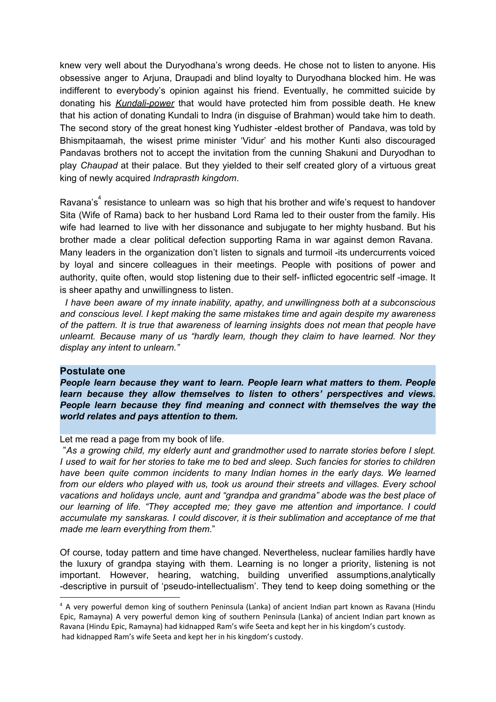knew very well about the Duryodhana's wrong deeds. He chose not to listen to anyone. His obsessive anger to Arjuna, Draupadi and blind loyalty to Duryodhana blocked him. He was indifferent to everybody's opinion against his friend. Eventually, he committed suicide by donating his *Kundali-power* that would have protected him from possible death. He knew that his action of donating Kundali to Indra (in disguise of Brahman) would take him to death. The second story of the great honest king Yudhister -eldest brother of Pandava, was told by Bhismpitaamah, the wisest prime minister 'Vidur' and his mother Kunti also discouraged Pandavas brothers not to accept the invitation from the cunning Shakuni and Duryodhan to play *Chaupad* at their palace. But they yielded to their self created glory of a virtuous great king of newly acquired *Indraprasth kingdom*.

Ravana's $4$  resistance to unlearn was so high that his brother and wife's request to handover Sita (Wife of Rama) back to her husband Lord Rama led to their ouster from the family. His wife had learned to live with her dissonance and subjugate to her mighty husband. But his brother made a clear political defection supporting Rama in war against demon Ravana. Many leaders in the organization don't listen to signals and turmoil -its undercurrents voiced by loyal and sincere colleagues in their meetings. People with positions of power and authority, quite often, would stop listening due to their self- inflicted egocentric self -image. It is sheer apathy and unwillingness to listen.

*I have been aware of my innate inability, apathy, and unwillingness both at a subconscious and conscious level. I kept making the same mistakes time and again despite my awareness of the pattern. It is true that awareness of learning insights does not mean that people have unlearnt. Because many of us "hardly learn, though they claim to have learned. Nor they display any intent to unlearn."*

## **Postulate one**

*People learn because they want to learn. People learn what matters to them. People learn because they allow themselves to listen to others' perspectives and views. People learn because they find meaning and connect with themselves the way the world relates and pays attention to them.*

Let me read a page from my book of life.

"*As a growing child, my elderly aunt and grandmother used to narrate stories before I slept.* I used to wait for her stories to take me to bed and sleep. Such fancies for stories to children *have been quite common incidents to many Indian homes in the early days. We learned from our elders who played with us, took us around their streets and villages. Every school vacations and holidays uncle, aunt and "grandpa and grandma" abode was the best place of our learning of life. "They accepted me; they gave me attention and importance. I could accumulate my sanskaras. I could discover, it is their sublimation and acceptance of me that made me learn everything from them*."

Of course, today pattern and time have changed. Nevertheless, nuclear families hardly have the luxury of grandpa staying with them. Learning is no longer a priority, listening is not important. However, hearing, watching, building unverified assumptions,analytically -descriptive in pursuit of 'pseudo-intellectualism'. They tend to keep doing something or the

<sup>4</sup> A very powerful demon king of southern Peninsula (Lanka) of ancient Indian part known as Ravana (Hindu Epic, Ramayna) A very powerful demon king of southern Peninsula (Lanka) of ancient Indian part known as Ravana (Hindu Epic, Ramayna) had kidnapped Ram's wife Seeta and kept her in his kingdom's custody. had kidnapped Ram's wife Seeta and kept her in his kingdom's custody.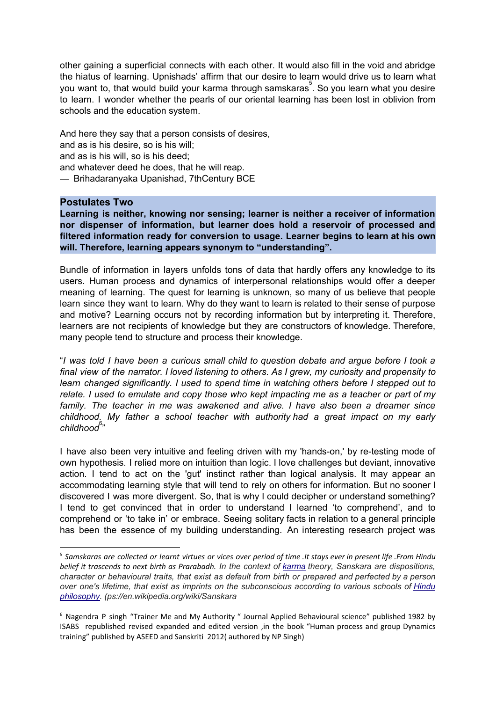other gaining a superficial connects with each other. It would also fill in the void and abridge the hiatus of learning. Upnishads' affirm that our desire to learn would drive us to learn what you want to, that would build your karma through samskaras<sup>5</sup>. So you learn what you desire to learn. I wonder whether the pearls of our oriental learning has been lost in oblivion from schools and the education system.

And here they say that a person consists of desires, and as is his desire, so is his will; and as is his will, so is his deed; and whatever deed he does, that he will reap. — Brihadaranyaka Upanishad, 7thCentury BCE

## **Postulates Two**

**Learning is neither, knowing nor sensing; learner is neither a receiver of information nor dispenser of information, but learner does hold a reservoir of processed and filtered information ready for conversion to usage. Learner begins to learn at his own will. Therefore, learning appears synonym to "understanding".**

Bundle of information in layers unfolds tons of data that hardly offers any knowledge to its users. Human process and dynamics of interpersonal relationships would offer a deeper meaning of learning. The quest for learning is unknown, so many of us believe that people learn since they want to learn. Why do they want to learn is related to their sense of purpose and motive? Learning occurs not by recording information but by interpreting it. Therefore, learners are not recipients of knowledge but they are constructors of knowledge. Therefore, many people tend to structure and process their knowledge.

"*I was told I have been a curious small child to question debate and argue before I took a final view of the narrator. I loved listening to others. As I grew, my curiosity and propensity to learn changed significantly. I used to spend time in watching others before I stepped out to relate. I used to emulate and copy those who kept impacting me as a teacher or part of my family. The teacher in me was awakened and alive. I have also been a dreamer since childhood. My father a school teacher with authority had a great impact on my early* childhood<sup>6,</sup>"

I have also been very intuitive and feeling driven with my 'hands-on,' by re-testing mode of own hypothesis. I relied more on intuition than logic. I love challenges but deviant, innovative action. I tend to act on the 'gut' instinct rather than logical analysis. It may appear an accommodating learning style that will tend to rely on others for information. But no sooner I discovered I was more divergent. So, that is why I could decipher or understand something? I tend to get convinced that in order to understand I learned 'to comprehend', and to comprehend or 'to take in' or embrace. Seeing solitary facts in relation to a general principle has been the essence of my building understanding. An interesting research project was

<sup>&</sup>lt;sup>5</sup> Samskaras are collected or learnt virtues or vices over period of time . It stays ever in present life . From Hindu belief it trascends to next birth as Prarabadh. In the context of [karma](https://en.wikipedia.org/wiki/Karma) theory, Sanskara are dispositions, *character or behavioural traits, that exist as default from birth or prepared and perfected by a person over one's lifetime, that exist as imprints on the subconscious according to various schools of [Hindu](https://en.wikipedia.org/wiki/Hindu_philosophy) [philosophy.](https://en.wikipedia.org/wiki/Hindu_philosophy) (ps://en.wikipedia.org/wiki/Sanskara*

<sup>6</sup> Nagendra P singh "Trainer Me and My Authority " Journal Applied Behavioural science" published 1982 by ISABS republished revised expanded and edited version ,in the book "Human process and group Dynamics training" published by ASEED and Sanskriti 2012( authored by NP Singh)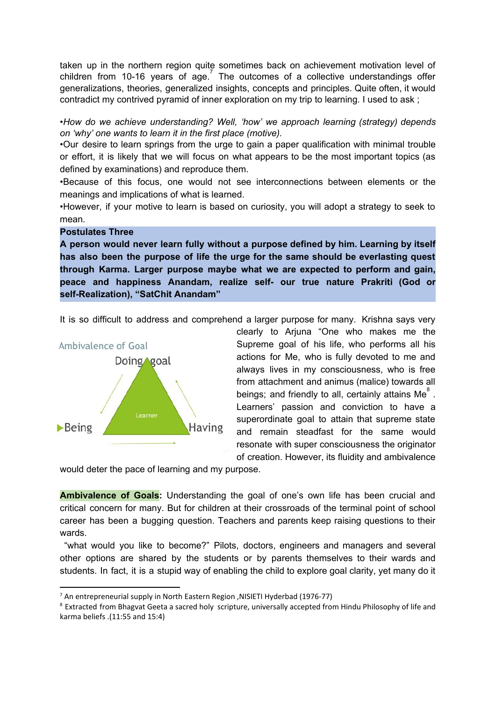taken up in the northern region quite sometimes back on achievement motivation level of children from 10-16 years of  $age^7$  The outcomes of a collective understandings offer generalizations, theories, generalized insights, concepts and principles. Quite often, it would contradict my contrived pyramid of inner exploration on my trip to learning. I used to ask ;

*•How do we achieve understanding? Well, 'how' we approach learning (strategy) depends on 'why' one wants to learn it in the first place (motive).*

*•*Our desire to learn springs from the urge to gain a paper qualification with minimal trouble or effort, it is likely that we will focus on what appears to be the most important topics (as defined by examinations) and reproduce them.

•Because of this focus, one would not see interconnections between elements or the meanings and implications of what is learned.

•However, if your motive to learn is based on curiosity, you will adopt a strategy to seek to mean.

#### **Postulates Three**

**A person would never learn fully without a purpose defined by him. Learning by itself has also been the purpose of life the urge for the same should be everlasting quest through Karma. Larger purpose maybe what we are expected to perform and gain, peace and happiness Anandam, realize self- our true nature Prakriti (God or self-Realization), "SatChit Anandam"**

It is so difficult to address and comprehend a larger purpose for many. Krishna says very



clearly to Arjuna "One who makes me the Supreme goal of his life, who performs all his actions for Me, who is fully devoted to me and always lives in my consciousness, who is free from attachment and animus (malice) towards all beings; and friendly to all, certainly attains Me $^{8}$  . Learners' passion and conviction to have a superordinate goal to attain that supreme state and remain steadfast for the same would resonate with super consciousness the originator of creation. However, its fluidity and ambivalence

would deter the pace of learning and my purpose.

**Ambivalence of Goals:** Understanding the goal of one's own life has been crucial and critical concern for many. But for children at their crossroads of the terminal point of school career has been a bugging question. Teachers and parents keep raising questions to their wards.

"what would you like to become?" Pilots, doctors, engineers and managers and several other options are shared by the students or by parents themselves to their wards and students. In fact, it is a stupid way of enabling the child to explore goal clarity, yet many do it

<sup>7</sup> An entrepreneurial supply in North Eastern Region ,NISIETI Hyderbad (1976-77)

<sup>&</sup>lt;sup>8</sup> Extracted from Bhagvat Geeta a sacred holy scripture, universally accepted from Hindu Philosophy of life and karma beliefs .(11:55 and 15:4)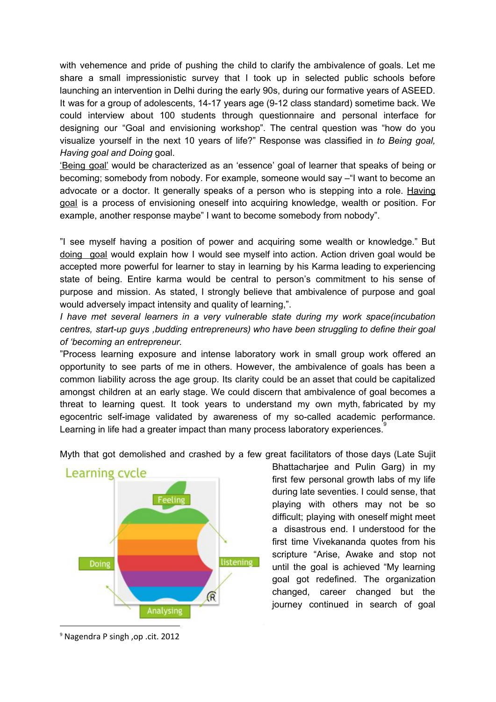with vehemence and pride of pushing the child to clarify the ambivalence of goals. Let me share a small impressionistic survey that I took up in selected public schools before launching an intervention in Delhi during the early 90s, during our formative years of ASEED. It was for a group of adolescents, 14-17 years age (9-12 class standard) sometime back. We could interview about 100 students through questionnaire and personal interface for designing our "Goal and envisioning workshop". The central question was "how do you visualize yourself in the next 10 years of life?" Response was classified in *to Being goal, Having goal and Doing* goal.

'Being goal' would be characterized as an 'essence' goal of learner that speaks of being or becoming; somebody from nobody. For example, someone would say –"I want to become an advocate or a doctor. It generally speaks of a person who is stepping into a role. Having goal is a process of envisioning oneself into acquiring knowledge, wealth or position. For example, another response maybe" I want to become somebody from nobody".

"I see myself having a position of power and acquiring some wealth or knowledge." But doing goal would explain how I would see myself into action. Action driven goal would be accepted more powerful for learner to stay in learning by his Karma leading to experiencing state of being. Entire karma would be central to person's commitment to his sense of purpose and mission. As stated, I strongly believe that ambivalence of purpose and goal would adversely impact intensity and quality of learning,".

*I have met several learners in a very vulnerable state during my work space(incubation centres, start-up guys ,budding entrepreneurs) who have been struggling to define their goal of 'becoming an entrepreneur.*

"Process learning exposure and intense laboratory work in small group work offered an opportunity to see parts of me in others. However, the ambivalence of goals has been a common liability across the age group. Its clarity could be an asset that could be capitalized amongst children at an early stage. We could discern that ambivalence of goal becomes a threat to learning quest. It took years to understand my own myth, fabricated by my egocentric self-image validated by awareness of my so-called academic performance. Learning in life had a greater impact than many process laboratory experiences.<sup>9</sup>



Myth that got demolished and crashed by a few great facilitators of those days (Late Sujit

Bhattacharjee and Pulin Garg) in my first few personal growth labs of my life during late seventies. I could sense, that playing with others may not be so difficult; playing with oneself might meet a disastrous end. I understood for the first time Vivekananda quotes from his scripture "Arise, Awake and stop not until the goal is achieved "My learning goal got redefined. The organization changed, career changed but the journey continued in search of goal

<sup>9</sup> Nagendra P singh ,op .cit. 2012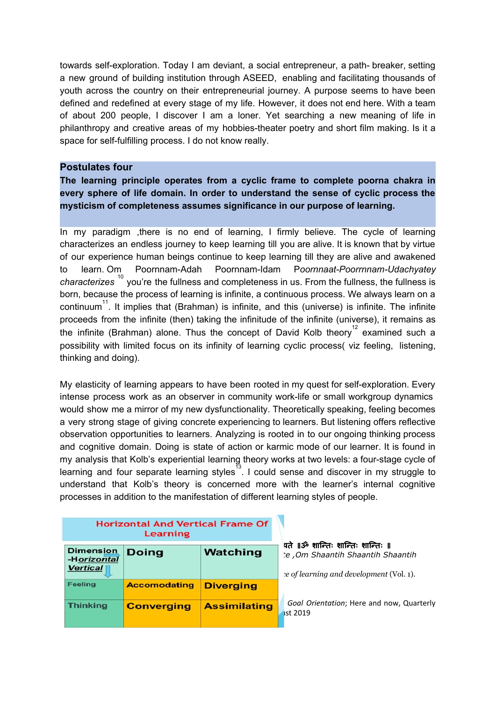towards self-exploration. Today I am deviant, a social entrepreneur, a path- breaker, setting a new ground of building institution through ASEED, enabling and facilitating thousands of youth across the country on their entrepreneurial journey. A purpose seems to have been defined and redefined at every stage of my life. However, it does not end here. With a team of about 200 people, I discover I am a loner. Yet searching a new meaning of life in philanthropy and creative areas of my hobbies-theater poetry and short film making. Is it a space for self-fulfilling process. I do not know really.

## **Postulates four**

**The learning principle operates from a cyclic frame to complete poorna chakra in every sphere of life domain. In order to understand the sense of cyclic process the mysticism of completeness assumes significance in our purpose of learning.**

In my paradigm ,there is no end of learning, I firmly believe. The cycle of learning characterizes an endless journey to keep learning till you are alive. It is known that by virtue of our experience human beings continue to keep learning till they are alive and awakened to learn. Om Poornnam-Adah Poornnam-Idam P*oornnaat-Poorrnnam-Udachyatey* characterizes <sup>10</sup> you're the fullness and completeness in us. From the fullness, the fullness is born, because the process of learning is infinite, a continuous process. We always learn on a continuum<sup>11</sup>. It implies that (Brahman) is infinite, and this (universe) is infinite. The infinite proceeds from the infinite (then) taking the infinitude of the infinite (universe), it remains as the infinite (Brahman) alone. Thus the concept of David Kolb theory<sup>12</sup> examined such a possibility with limited focus on its infinity of learning cyclic process( viz feeling, listening, thinking and doing).

My elasticity of learning appears to have been rooted in my quest for self-exploration. Every intense process work as an observer in community work-life or small workgroup dynamics would show me a mirror of my new dysfunctionality. Theoretically speaking, feeling becomes a very strong stage of giving concrete experiencing to learners. But listening offers reflective observation opportunities to learners. Analyzing is rooted in to our ongoing thinking process and cognitive domain. Doing is state of action or karmic mode of our learner. It is found in my analysis that Kolb's experiential learning theory works at two levels: a four-stage cycle of learning and four separate learning styles $^{13}$ . I could sense and discover in my struggle to understand that Kolb's theory is concerned more with the learner's internal cognitive processes in addition to the manifestation of different learning styles of people.

| <b>Horizontal And Vertical Frame Of</b><br>Learning |                     |                     |                                                                                                                 |
|-----------------------------------------------------|---------------------|---------------------|-----------------------------------------------------------------------------------------------------------------|
| <b>Dimension</b><br>-Horizontal<br><b>Vertical</b>  | <b>Doing</b>        | Watching            | पते ॥ॐ शान्तिः शान्तिः शान्तिः ॥<br>e, Om Shaantih Shaantih Shaantih<br>e of learning and development (Vol. 1). |
| <b>Feeling</b>                                      | <b>Accomodating</b> | <b>Diverging</b>    |                                                                                                                 |
| <b>Thinking</b>                                     | <b>Converging</b>   | <b>Assimilating</b> | Goal Orientation; Here and now, Quarterly<br><b>ist 2019</b>                                                    |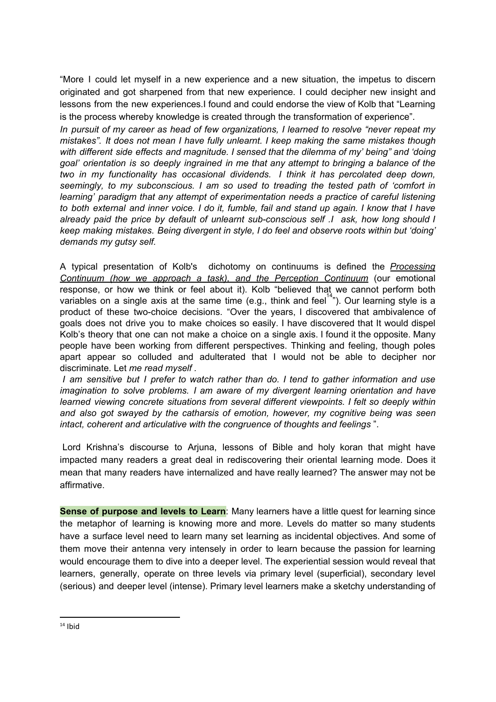"More I could let myself in a new experience and a new situation, the impetus to discern originated and got sharpened from that new experience. I could decipher new insight and lessons from the new experiences.I found and could endorse the view of Kolb that "Learning is the process whereby knowledge is created through the transformation of experience".

*In pursuit of my career as head of few organizations, I learned to resolve "never repeat my mistakes". It does not mean I have fully unlearnt. I keep making the same mistakes though with different side effects and magnitude. I sensed that the dilemma of my' being" and 'doing goal' orientation is so deeply ingrained in me that any attempt to bringing a balance of the two in my functionality has occasional dividends. I think it has percolated deep down, seemingly, to my subconscious. I am so used to treading the tested path of 'comfort in learning' paradigm that any attempt of experimentation needs a practice of careful listening* to both external and inner voice. I do it, fumble, fail and stand up again. I know that I have *already paid the price by default of unlearnt sub-conscious self .I ask, how long should I keep making mistakes. Being divergent in style, I do feel and observe roots within but 'doing' demands my gutsy self.*

A typical presentation of Kolb's dichotomy on continuums is defined the *Processing Continuum (how we approach a task), and the Perception Continuum* (our emotional response, or how we think or feel about it). Kolb "believed that we cannot perform both variables on a single axis at the same time (e.g., think and feel<sup>14</sup>"). Our learning style is a product of these two-choice decisions. "Over the years, I discovered that ambivalence of goals does not drive you to make choices so easily. I have discovered that It would dispel Kolb's theory that one can not make a choice on a single axis. I found it the opposite. Many people have been working from different perspectives. Thinking and feeling, though poles apart appear so colluded and adulterated that I would not be able to decipher nor discriminate. Let *me read myself .*

*I am sensitive but I prefer to watch rather than do. I tend to gather information and use imagination to solve problems. I am aware of my divergent learning orientation and have learned viewing concrete situations from several different viewpoints. I felt so deeply within and also got swayed by the catharsis of emotion, however, my cognitive being was seen intact, coherent and articulative with the congruence of thoughts and feelings* ".

Lord Krishna's discourse to Arjuna, lessons of Bible and holy koran that might have impacted many readers a great deal in rediscovering their oriental learning mode. Does it mean that many readers have internalized and have really learned? The answer may not be affirmative.

**Sense of purpose and levels to Learn**: Many learners have a little quest for learning since the metaphor of learning is knowing more and more. Levels do matter so many students have a surface level need to learn many set learning as incidental objectives. And some of them move their antenna very intensely in order to learn because the passion for learning would encourage them to dive into a deeper level. The experiential session would reveal that learners, generally, operate on three levels via primary level (superficial), secondary level (serious) and deeper level (intense). Primary level learners make a sketchy understanding of

 $14$  Ibid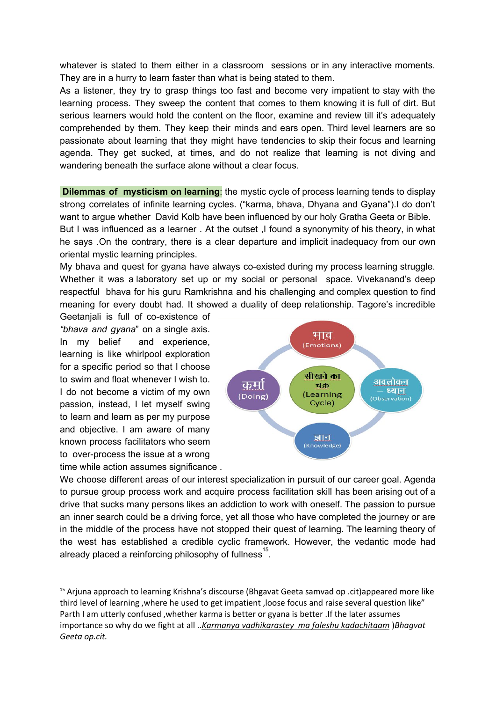whatever is stated to them either in a classroom sessions or in any interactive moments. They are in a hurry to learn faster than what is being stated to them.

As a listener, they try to grasp things too fast and become very impatient to stay with the learning process. They sweep the content that comes to them knowing it is full of dirt. But serious learners would hold the content on the floor, examine and review till it's adequately comprehended by them. They keep their minds and ears open. Third level learners are so passionate about learning that they might have tendencies to skip their focus and learning agenda. They get sucked, at times, and do not realize that learning is not diving and wandering beneath the surface alone without a clear focus.

**Dilemmas of mysticism on learning**: the mystic cycle of process learning tends to display strong correlates of infinite learning cycles. ("karma, bhava, Dhyana and Gyana").I do don't want to argue whether David Kolb have been influenced by our holy Gratha Geeta or Bible. But I was influenced as a learner . At the outset ,I found a synonymity of his theory, in what he says .On the contrary, there is a clear departure and implicit inadequacy from our own oriental mystic learning principles.

My bhava and quest for gyana have always co-existed during my process learning struggle. Whether it was a laboratory set up or my social or personal space. Vivekanand's deep respectful bhava for his guru Ramkrishna and his challenging and complex question to find meaning for every doubt had. It showed a duality of deep relationship. Tagore's incredible

Geetanjali is full of co-existence of *"bhava and gyana*" on a single axis. In my belief and experience, learning is like whirlpool exploration for a specific period so that I choose to swim and float whenever I wish to. I do not become a victim of my own passion, instead, I let myself swing to learn and learn as per my purpose and objective. I am aware of many known process facilitators who seem to over-process the issue at a wrong time while action assumes significance .



We choose different areas of our interest specialization in pursuit of our career goal. Agenda to pursue group process work and acquire process facilitation skill has been arising out of a drive that sucks many persons likes an addiction to work with oneself. The passion to pursue an inner search could be a driving force, yet all those who have completed the journey or are in the middle of the process have not stopped their quest of learning. The learning theory of the west has established a credible cyclic framework. However, the vedantic mode had already placed a reinforcing philosophy of fullness  $^{15}$ .

<sup>15</sup> Arjuna approach to learning Krishna's discourse (Bhgavat Geeta samvad op .cit)appeared more like third level of learning ,where he used to get impatient ,loose focus and raise several question like" Parth I am utterly confused , whether karma is better or gyana is better .If the later assumes importance so why do we fight at all ..*Karmanya vadhikarastey ma faleshu kadachitaam* )*Bhagvat Geeta op.cit.*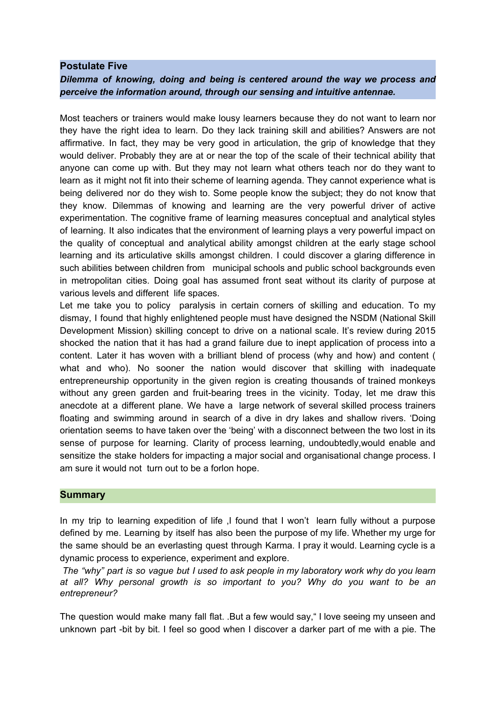## **Postulate Five**

*Dilemma of knowing, doing and being is centered around the way we process and perceive the information around, through our sensing and intuitive antennae.*

Most teachers or trainers would make lousy learners because they do not want to learn nor they have the right idea to learn. Do they lack training skill and abilities? Answers are not affirmative. In fact, they may be very good in articulation, the grip of knowledge that they would deliver. Probably they are at or near the top of the scale of their technical ability that anyone can come up with. But they may not learn what others teach nor do they want to learn as it might not fit into their scheme of learning agenda. They cannot experience what is being delivered nor do they wish to. Some people know the subject; they do not know that they know. Dilemmas of knowing and learning are the very powerful driver of active experimentation. The cognitive frame of learning measures conceptual and analytical styles of learning. It also indicates that the environment of learning plays a very powerful impact on the quality of conceptual and analytical ability amongst children at the early stage school learning and its articulative skills amongst children. I could discover a glaring difference in such abilities between children from municipal schools and public school backgrounds even in metropolitan cities. Doing goal has assumed front seat without its clarity of purpose at various levels and different life spaces.

Let me take you to policy paralysis in certain corners of skilling and education. To my dismay, I found that highly enlightened people must have designed the NSDM (National Skill Development Mission) skilling concept to drive on a national scale. It's review during 2015 shocked the nation that it has had a grand failure due to inept application of process into a content. Later it has woven with a brilliant blend of process (why and how) and content ( what and who). No sooner the nation would discover that skilling with inadequate entrepreneurship opportunity in the given region is creating thousands of trained monkeys without any green garden and fruit-bearing trees in the vicinity. Today, let me draw this anecdote at a different plane. We have a large network of several skilled process trainers floating and swimming around in search of a dive in dry lakes and shallow rivers. 'Doing orientation seems to have taken over the 'being' with a disconnect between the two lost in its sense of purpose for learning. Clarity of process learning, undoubtedly,would enable and sensitize the stake holders for impacting a major social and organisational change process. I am sure it would not turn out to be a forlon hope.

## **Summary**

In my trip to learning expedition of life, I found that I won't learn fully without a purpose defined by me. Learning by itself has also been the purpose of my life. Whether my urge for the same should be an everlasting quest through Karma. I pray it would. Learning cycle is a dynamic process to experience, experiment and explore.

The "why" part is so vague but I used to ask people in my laboratory work why do you learn *at all? Why personal growth is so important to you? Why do you want to be an entrepreneur?*

The question would make many fall flat. .But a few would say," I love seeing my unseen and unknown part -bit by bit. I feel so good when I discover a darker part of me with a pie. The